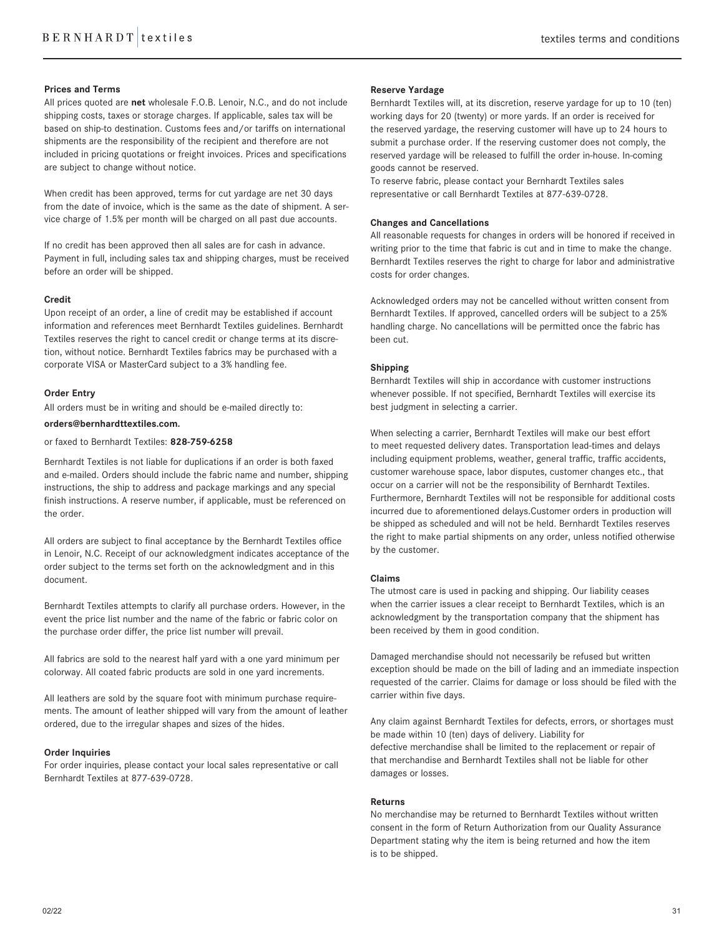# **Prices and Terms**

All prices quoted are **net** wholesale F.O.B. Lenoir, N.C., and do not include shipping costs, taxes or storage charges. If applicable, sales tax will be based on ship-to destination. Customs fees and/or tariffs on international shipments are the responsibility of the recipient and therefore are not included in pricing quotations or freight invoices. Prices and specifications are subject to change without notice.

When credit has been approved, terms for cut yardage are net 30 days from the date of invoice, which is the same as the date of shipment. A service charge of 1.5% per month will be charged on all past due accounts.

If no credit has been approved then all sales are for cash in advance. Payment in full, including sales tax and shipping charges, must be received before an order will be shipped.

### **Credit**

Upon receipt of an order, a line of credit may be established if account information and references meet Bernhardt Textiles guidelines. Bernhardt Textiles reserves the right to cancel credit or change terms at its discretion, without notice. Bernhardt Textiles fabrics may be purchased with a corporate VISA or MasterCard subject to a 3% handling fee.

#### **Order Entry**

All orders must be in writing and should be e-mailed directly to:

# **orders@bernhardttextiles.com.**

or faxed to Bernhardt Textiles: **828-759-6258**

Bernhardt Textiles is not liable for duplications if an order is both faxed and e-mailed. Orders should include the fabric name and number, shipping instructions, the ship to address and package markings and any special finish instructions. A reserve number, if applicable, must be referenced on the order.

All orders are subject to final acceptance by the Bernhardt Textiles office in Lenoir, N.C. Receipt of our acknowledgment indicates acceptance of the order subject to the terms set forth on the acknowledgment and in this document.

Bernhardt Textiles attempts to clarify all purchase orders. However, in the event the price list number and the name of the fabric or fabric color on the purchase order differ, the price list number will prevail.

All fabrics are sold to the nearest half yard with a one yard minimum per colorway. All coated fabric products are sold in one yard increments.

All leathers are sold by the square foot with minimum purchase requirements. The amount of leather shipped will vary from the amount of leather ordered, due to the irregular shapes and sizes of the hides.

## **Order Inquiries**

For order inquiries, please contact your local sales representative or call Bernhardt Textiles at 877-639-0728.

### **Reserve Yardage**

Bernhardt Textiles will, at its discretion, reserve yardage for up to 10 (ten) working days for 20 (twenty) or more yards. If an order is received for the reserved yardage, the reserving customer will have up to 24 hours to submit a purchase order. If the reserving customer does not comply, the reserved yardage will be released to fulfill the order in-house. In-coming goods cannot be reserved.

To reserve fabric, please contact your Bernhardt Textiles sales representative or call Bernhardt Textiles at 877-639-0728.

# **Changes and Cancellations**

All reasonable requests for changes in orders will be honored if received in writing prior to the time that fabric is cut and in time to make the change. Bernhardt Textiles reserves the right to charge for labor and administrative costs for order changes.

Acknowledged orders may not be cancelled without written consent from Bernhardt Textiles. If approved, cancelled orders will be subject to a 25% handling charge. No cancellations will be permitted once the fabric has been cut.

### **Shipping**

Bernhardt Textiles will ship in accordance with customer instructions whenever possible. If not specified, Bernhardt Textiles will exercise its best judgment in selecting a carrier.

When selecting a carrier, Bernhardt Textiles will make our best effort to meet requested delivery dates. Transportation lead-times and delays including equipment problems, weather, general traffic, traffic accidents, customer warehouse space, labor disputes, customer changes etc., that occur on a carrier will not be the responsibility of Bernhardt Textiles. Furthermore, Bernhardt Textiles will not be responsible for additional costs incurred due to aforementioned delays.Customer orders in production will be shipped as scheduled and will not be held. Bernhardt Textiles reserves the right to make partial shipments on any order, unless notified otherwise by the customer.

# **Claims**

The utmost care is used in packing and shipping. Our liability ceases when the carrier issues a clear receipt to Bernhardt Textiles, which is an acknowledgment by the transportation company that the shipment has been received by them in good condition.

Damaged merchandise should not necessarily be refused but written exception should be made on the bill of lading and an immediate inspection requested of the carrier. Claims for damage or loss should be filed with the carrier within five days.

Any claim against Bernhardt Textiles for defects, errors, or shortages must be made within 10 (ten) days of delivery. Liability for defective merchandise shall be limited to the replacement or repair of that merchandise and Bernhardt Textiles shall not be liable for other damages or losses.

### **Returns**

No merchandise may be returned to Bernhardt Textiles without written consent in the form of Return Authorization from our Quality Assurance Department stating why the item is being returned and how the item is to be shipped.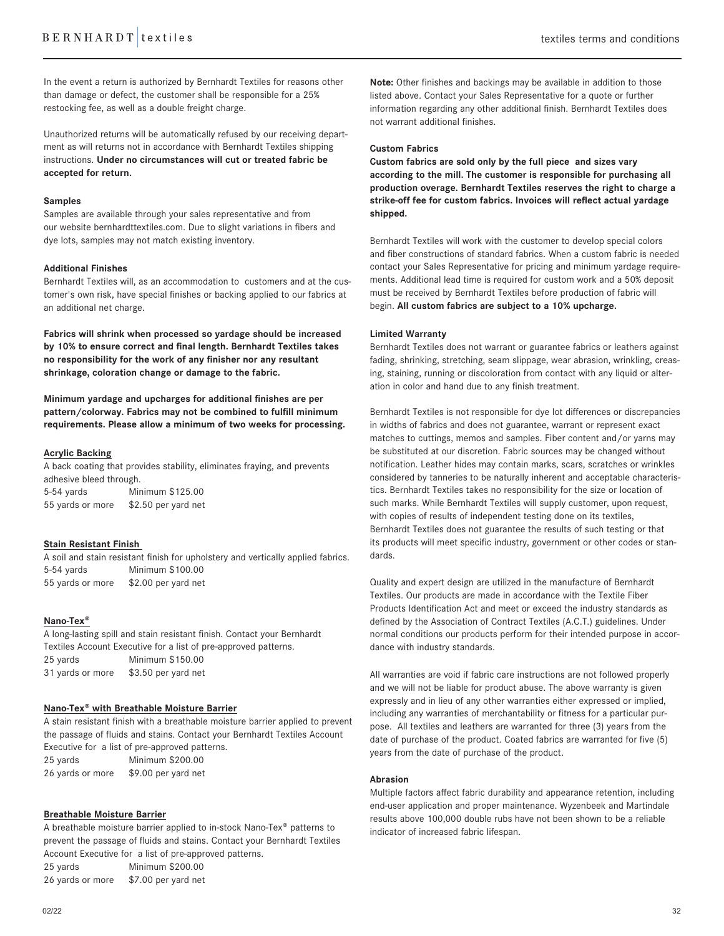In the event a return is authorized by Bernhardt Textiles for reasons other than damage or defect, the customer shall be responsible for a 25% restocking fee, as well as a double freight charge.

Unauthorized returns will be automatically refused by our receiving department as will returns not in accordance with Bernhardt Textiles shipping instructions. **Under no circumstances will cut or treated fabric be accepted for return.** 

### **Samples**

Samples are available through your sales representative and from our website bernhardttextiles.com. Due to slight variations in fibers and dye lots, samples may not match existing inventory.

### **Additional Finishes**

Bernhardt Textiles will, as an accommodation to customers and at the customer's own risk, have special finishes or backing applied to our fabrics at an additional net charge.

**Fabrics will shrink when processed so yardage should be increased by 10% to ensure correct and final length. Bernhardt Textiles takes no responsibility for the work of any finisher nor any resultant shrinkage, coloration change or damage to the fabric.**

**Minimum yardage and upcharges for additional finishes are per pattern/colorway. Fabrics may not be combined to fulfill minimum requirements. Please allow a minimum of two weeks for processing.** 

### **Acrylic Backing**

A back coating that provides stability, eliminates fraying, and prevents adhesive bleed through.

5-54 yards Minimum \$125.00 55 yards or more \$2.50 per yard net

# **Stain Resistant Finish**

A soil and stain resistant finish for upholstery and vertically applied fabrics. 5-54 yards Minimum \$100.00 55 yards or more \$2.00 per yard net

# **Nano-Tex®**

A long-lasting spill and stain resistant finish. Contact your Bernhardt Textiles Account Executive for a list of pre-approved patterns. 25 yards Minimum \$150.00 31 yards or more \$3.50 per yard net

# **Nano-Tex® with Breathable Moisture Barrier**

A stain resistant finish with a breathable moisture barrier applied to prevent the passage of fluids and stains. Contact your Bernhardt Textiles Account Executive for a list of pre-approved patterns. 25 yards Minimum \$200.00

26 yards or more \$9.00 per yard net

### **Breathable Moisture Barrier**

A breathable moisture barrier applied to in-stock Nano-Tex® patterns to prevent the passage of fluids and stains. Contact your Bernhardt Textiles Account Executive for a list of pre-approved patterns.

25 yards Minimum \$200.00 26 yards or more \$7.00 per yard net Note: Other finishes and backings may be available in addition to those listed above. Contact your Sales Representative for a quote or further information regarding any other additional finish. Bernhardt Textiles does not warrant additional finishes.

# **Custom Fabrics**

**Custom fabrics are sold only by the full piece and sizes vary according to the mill. The customer is responsible for purchasing all production overage. Bernhardt Textiles reserves the right to charge a strike-off fee for custom fabrics. Invoices will reflect actual yardage shipped.**

Bernhardt Textiles will work with the customer to develop special colors and fiber constructions of standard fabrics. When a custom fabric is needed contact your Sales Representative for pricing and minimum yardage requirements. Additional lead time is required for custom work and a 50% deposit must be received by Bernhardt Textiles before production of fabric will begin. **All custom fabrics are subject to a 10% upcharge.**

### **Limited Warranty**

Bernhardt Textiles does not warrant or guarantee fabrics or leathers against fading, shrinking, stretching, seam slippage, wear abrasion, wrinkling, creasing, staining, running or discoloration from contact with any liquid or alteration in color and hand due to any finish treatment.

Bernhardt Textiles is not responsible for dye lot differences or discrepancies in widths of fabrics and does not guarantee, warrant or represent exact matches to cuttings, memos and samples. Fiber content and/or yarns may be substituted at our discretion. Fabric sources may be changed without notification. Leather hides may contain marks, scars, scratches or wrinkles considered by tanneries to be naturally inherent and acceptable characteristics. Bernhardt Textiles takes no responsibility for the size or location of such marks. While Bernhardt Textiles will supply customer, upon request, with copies of results of independent testing done on its textiles, Bernhardt Textiles does not guarantee the results of such testing or that its products will meet specific industry, government or other codes or standards.

Quality and expert design are utilized in the manufacture of Bernhardt Textiles. Our products are made in accordance with the Textile Fiber Products Identification Act and meet or exceed the industry standards as defined by the Association of Contract Textiles (A.C.T.) guidelines. Under normal conditions our products perform for their intended purpose in accordance with industry standards.

All warranties are void if fabric care instructions are not followed properly and we will not be liable for product abuse. The above warranty is given expressly and in lieu of any other warranties either expressed or implied, including any warranties of merchantability or fitness for a particular purpose. All textiles and leathers are warranted for three (3) years from the date of purchase of the product. Coated fabrics are warranted for five (5) years from the date of purchase of the product.

# **Abrasion**

Multiple factors affect fabric durability and appearance retention, including end-user application and proper maintenance. Wyzenbeek and Martindale results above 100,000 double rubs have not been shown to be a reliable indicator of increased fabric lifespan.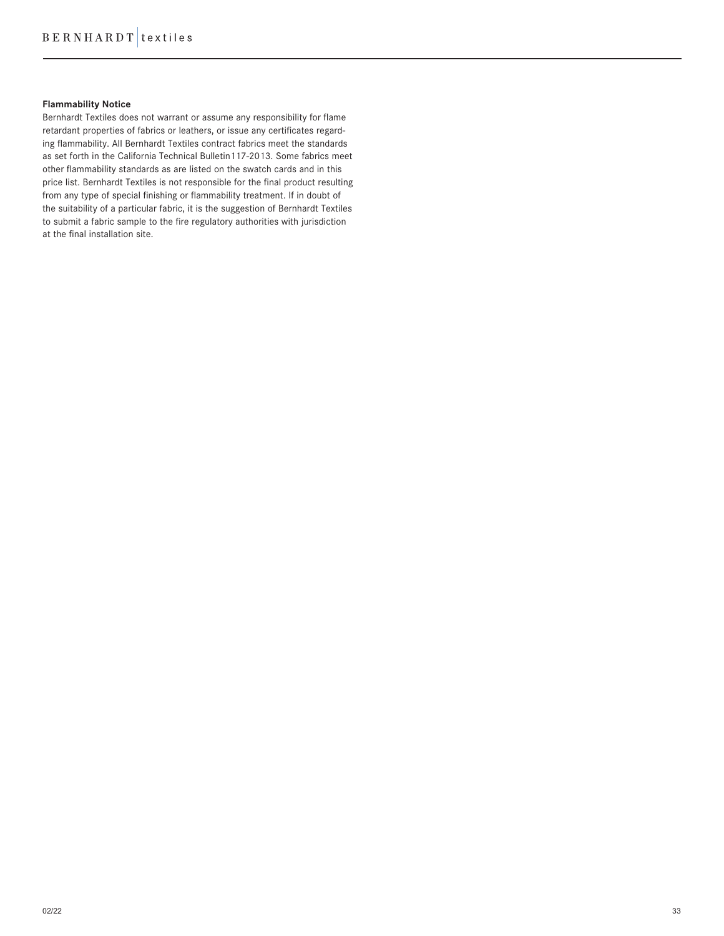# **Flammability Notice**

Bernhardt Textiles does not warrant or assume any responsibility for flame retardant properties of fabrics or leathers, or issue any certificates regarding flammability. All Bernhardt Textiles contract fabrics meet the standards as set forth in the California Technical Bulletin117-2013. Some fabrics meet other flammability standards as are listed on the swatch cards and in this price list. Bernhardt Textiles is not responsible for the final product resulting from any type of special finishing or flammability treatment. If in doubt of the suitability of a particular fabric, it is the suggestion of Bernhardt Textiles to submit a fabric sample to the fire regulatory authorities with jurisdiction at the final installation site.